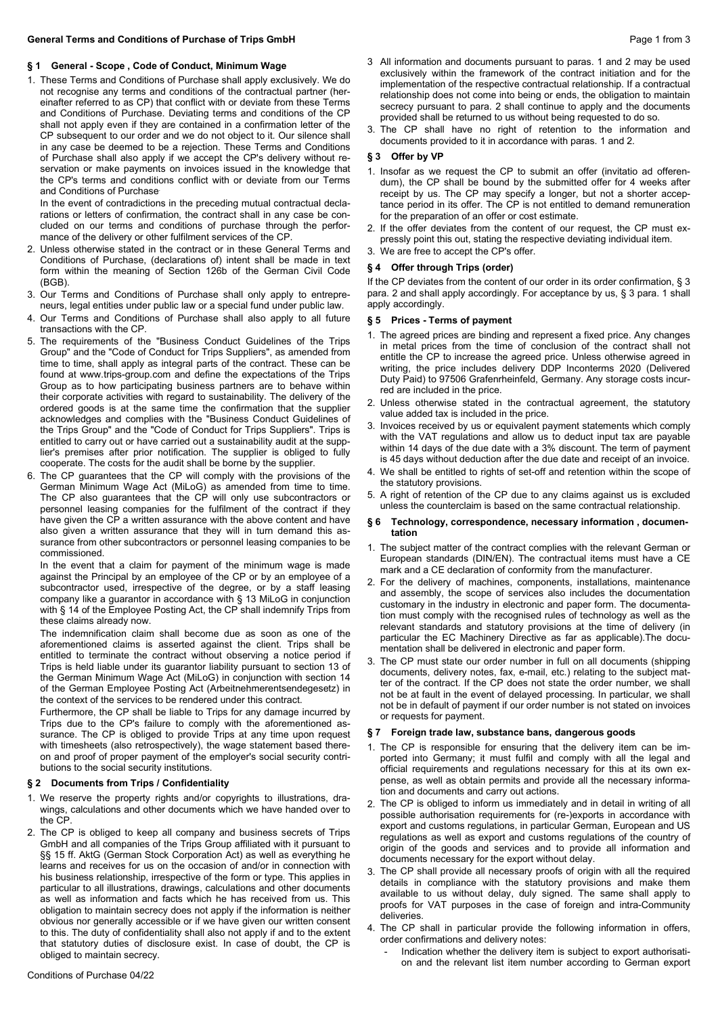### **§ 1 General - Scope , Code of Conduct, Minimum Wage**

1. These Terms and Conditions of Purchase shall apply exclusively. We do not recognise any terms and conditions of the contractual partner (hereinafter referred to as CP) that conflict with or deviate from these Terms and Conditions of Purchase. Deviating terms and conditions of the CP shall not apply even if they are contained in a confirmation letter of the CP subsequent to our order and we do not object to it. Our silence shall in any case be deemed to be a rejection. These Terms and Conditions of Purchase shall also apply if we accept the CP's delivery without reservation or make payments on invoices issued in the knowledge that the CP's terms and conditions conflict with or deviate from our Terms and Conditions of Purchase.

In the event of contradictions in the preceding mutual contractual declarations or letters of confirmation, the contract shall in any case be concluded on our terms and conditions of purchase through the performance of the delivery or other fulfilment services of the CP.

- 2. Unless otherwise stated in the contract or in these General Terms and Conditions of Purchase, (declarations of) intent shall be made in text form within the meaning of Section 126b of the German Civil Code (BGB).
- 3. Our Terms and Conditions of Purchase shall only apply to entrepreneurs, legal entities under public law or a special fund under public law.
- 4. Our Terms and Conditions of Purchase shall also apply to all future transactions with the CP.
- 5. The requirements of the "Business Conduct Guidelines of the Trips Group" and the "Code of Conduct for Trips Suppliers", as amended from time to time, shall apply as integral parts of the contract. These can be found at www.trips-group.com and define the expectations of the Trips Group as to how participating business partners are to behave within their corporate activities with regard to sustainability. The delivery of the ordered goods is at the same time the confirmation that the supplier acknowledges and complies with the "Business Conduct Guidelines of the Trips Group" and the "Code of Conduct for Trips Suppliers". Trips is entitled to carry out or have carried out a sustainability audit at the supplier's premises after prior notification. The supplier is obliged to fully cooperate. The costs for the audit shall be borne by the supplier.
- 6. The CP guarantees that the CP will comply with the provisions of the German Minimum Wage Act (MiLoG) as amended from time to time. The CP also guarantees that the CP will only use subcontractors or personnel leasing companies for the fulfilment of the contract if they have given the CP a written assurance with the above content and have also given a written assurance that they will in turn demand this assurance from other subcontractors or personnel leasing companies to be commissioned.

In the event that a claim for payment of the minimum wage is made against the Principal by an employee of the CP or by an employee of a subcontractor used, irrespective of the degree, or by a staff leasing company like a guarantor in accordance with § 13 MiLoG in conjunction with § 14 of the Employee Posting Act, the CP shall indemnify Trips from these claims already now.

The indemnification claim shall become due as soon as one of the aforementioned claims is asserted against the client. Trips shall be entitled to terminate the contract without observing a notice period if Trips is held liable under its guarantor liability pursuant to section 13 of the German Minimum Wage Act (MiLoG) in conjunction with section 14 of the German Employee Posting Act (Arbeitnehmerentsendegesetz) in the context of the services to be rendered under this contract.

Furthermore, the CP shall be liable to Trips for any damage incurred by Trips due to the CP's failure to comply with the aforementioned assurance. The CP is obliged to provide Trips at any time upon request with timesheets (also retrospectively), the wage statement based thereon and proof of proper payment of the employer's social security contributions to the social security institutions.

### **§ 2 Documents from Trips / Confidentiality**

- 1. We reserve the property rights and/or copyrights to illustrations, drawings, calculations and other documents which we have handed over to the CP.
- 2. The CP is obliged to keep all company and business secrets of Trips GmbH and all companies of the Trips Group affiliated with it pursuant to §§ 15 ff. AktG (German Stock Corporation Act) as well as everything he learns and receives for us on the occasion of and/or in connection with his business relationship, irrespective of the form or type. This applies in particular to all illustrations, drawings, calculations and other documents as well as information and facts which he has received from us. This obligation to maintain secrecy does not apply if the information is neither obvious nor generally accessible or if we have given our written consent to this. The duty of confidentiality shall also not apply if and to the extent that statutory duties of disclosure exist. In case of doubt, the CP is obliged to maintain secrecy.
- 3 All information and documents pursuant to paras. 1 and 2 may be used exclusively within the framework of the contract initiation and for the implementation of the respective contractual relationship. If a contractual relationship does not come into being or ends, the obligation to maintain secrecy pursuant to para. 2 shall continue to apply and the documents provided shall be returned to us without being requested to do so.
- 3. The CP shall have no right of retention to the information and documents provided to it in accordance with paras. 1 and 2.

### **§ 3 Offer by VP**

- 1. Insofar as we request the CP to submit an offer (invitatio ad offerendum), the CP shall be bound by the submitted offer for 4 weeks after receipt by us. The CP may specify a longer, but not a shorter acceptance period in its offer. The CP is not entitled to demand remuneration for the preparation of an offer or cost estimate.
- 2. If the offer deviates from the content of our request, the CP must expressly point this out, stating the respective deviating individual item.
- 3. We are free to accept the CP's offer.

#### **§ 4 Offer through Trips (order)**

If the CP deviates from the content of our order in its order confirmation, § 3 para. 2 and shall apply accordingly. For acceptance by us, § 3 para. 1 shall apply accordingly.

#### **§ 5 Prices - Terms of payment**

- 1. The agreed prices are binding and represent a fixed price. Any changes in metal prices from the time of conclusion of the contract shall not entitle the CP to increase the agreed price. Unless otherwise agreed in writing, the price includes delivery DDP Inconterms 2020 (Delivered Duty Paid) to 97506 Grafenrheinfeld, Germany. Any storage costs incurred are included in the price.
- 2. Unless otherwise stated in the contractual agreement, the statutory value added tax is included in the price.
- 3. Invoices received by us or equivalent payment statements which comply with the VAT regulations and allow us to deduct input tax are payable within 14 days of the due date with a 3% discount. The term of payment is 45 days without deduction after the due date and receipt of an invoice.
- 4. We shall be entitled to rights of set-off and retention within the scope of the statutory provisions.
- 5. A right of retention of the CP due to any claims against us is excluded unless the counterclaim is based on the same contractual relationship.

#### **§ 6 Technology, correspondence, necessary information , documentation**

- 1. The subject matter of the contract complies with the relevant German or European standards (DIN/EN). The contractual items must have a CE mark and a CE declaration of conformity from the manufacturer.
- 2. For the delivery of machines, components, installations, maintenance and assembly, the scope of services also includes the documentation customary in the industry in electronic and paper form. The documentation must comply with the recognised rules of technology as well as the relevant standards and statutory provisions at the time of delivery (in particular the EC Machinery Directive as far as applicable).The documentation shall be delivered in electronic and paper form.
- 3. The CP must state our order number in full on all documents (shipping documents, delivery notes, fax, e-mail, etc.) relating to the subject matter of the contract. If the CP does not state the order number, we shall not be at fault in the event of delayed processing. In particular, we shall not be in default of payment if our order number is not stated on invoices or requests for payment.

#### **§ 7 Foreign trade law, substance bans, dangerous goods**

- 1. The CP is responsible for ensuring that the delivery item can be imported into Germany; it must fulfil and comply with all the legal and official requirements and regulations necessary for this at its own expense, as well as obtain permits and provide all the necessary information and documents and carry out actions.
- 2. The CP is obliged to inform us immediately and in detail in writing of all possible authorisation requirements for (re-)exports in accordance with export and customs regulations, in particular German, European and US regulations as well as export and customs regulations of the country of origin of the goods and services and to provide all information and documents necessary for the export without delay.
- 3. The CP shall provide all necessary proofs of origin with all the required details in compliance with the statutory provisions and make them available to us without delay, duly signed. The same shall apply to proofs for VAT purposes in the case of foreign and intra-Community deliveries.
- 4. The CP shall in particular provide the following information in offers, order confirmations and delivery notes:
	- Indication whether the delivery item is subject to export authorisation and the relevant list item number according to German export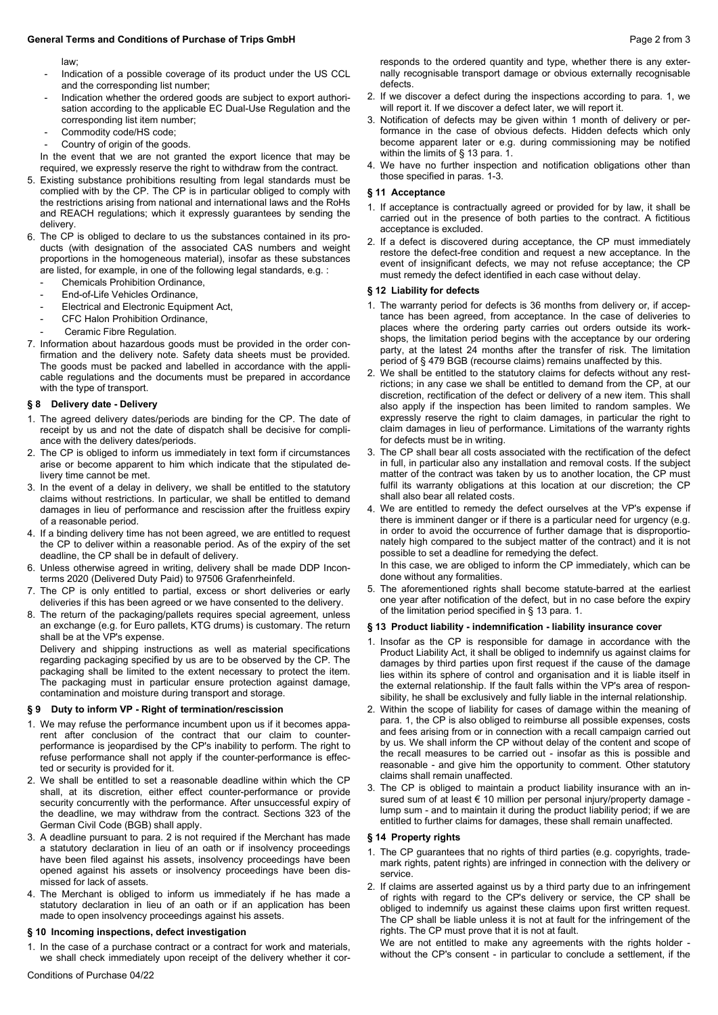#### **General Terms and Conditions of Purchase of Trips GmbH Page 2 from 3 Page 2 from 3**

law;

- Indication of a possible coverage of its product under the US CCL and the corresponding list number;
- Indication whether the ordered goods are subject to export authorisation according to the applicable EC Dual-Use Regulation and the corresponding list item number;
- Commodity code/HS code;
- Country of origin of the goods.

In the event that we are not granted the export licence that may be required, we expressly reserve the right to withdraw from the contract.

- 5. Existing substance prohibitions resulting from legal standards must be complied with by the CP. The CP is in particular obliged to comply with the restrictions arising from national and international laws and the RoHs and REACH regulations; which it expressly guarantees by sending the delivery.
- 6. The CP is obliged to declare to us the substances contained in its products (with designation of the associated CAS numbers and weight proportions in the homogeneous material), insofar as these substances are listed, for example, in one of the following legal standards, e.g. :
	- Chemicals Prohibition Ordinance,
	- End-of-Life Vehicles Ordinance,
	- Electrical and Electronic Equipment Act,
	- CFC Halon Prohibition Ordinance,
	- Ceramic Fibre Regulation.
- 7. Information about hazardous goods must be provided in the order confirmation and the delivery note. Safety data sheets must be provided. The goods must be packed and labelled in accordance with the applicable regulations and the documents must be prepared in accordance with the type of transport.

### **§ 8 Delivery date - Delivery**

- 1. The agreed delivery dates/periods are binding for the CP. The date of receipt by us and not the date of dispatch shall be decisive for compliance with the delivery dates/periods.
- 2. The CP is obliged to inform us immediately in text form if circumstances arise or become apparent to him which indicate that the stipulated delivery time cannot be met.
- 3. In the event of a delay in delivery, we shall be entitled to the statutory claims without restrictions. In particular, we shall be entitled to demand damages in lieu of performance and rescission after the fruitless expiry of a reasonable period.
- 4. If a binding delivery time has not been agreed, we are entitled to request the CP to deliver within a reasonable period. As of the expiry of the set deadline, the CP shall be in default of delivery.
- 6. Unless otherwise agreed in writing, delivery shall be made DDP Inconterms 2020 (Delivered Duty Paid) to 97506 Grafenrheinfeld.
- 7. The CP is only entitled to partial, excess or short deliveries or early deliveries if this has been agreed or we have consented to the delivery.
- 8. The return of the packaging/pallets requires special agreement, unless an exchange (e.g. for Euro pallets, KTG drums) is customary. The return shall be at the VP's expense.

Delivery and shipping instructions as well as material specifications regarding packaging specified by us are to be observed by the CP. The packaging shall be limited to the extent necessary to protect the item. The packaging must in particular ensure protection against damage, contamination and moisture during transport and storage.

### **§ 9 Duty to inform VP - Right of termination/rescission**

- 1. We may refuse the performance incumbent upon us if it becomes apparent after conclusion of the contract that our claim to counterperformance is jeopardised by the CP's inability to perform. The right to refuse performance shall not apply if the counter-performance is effected or security is provided for it.
- 2. We shall be entitled to set a reasonable deadline within which the CP shall, at its discretion, either effect counter-performance or provide security concurrently with the performance. After unsuccessful expiry of the deadline, we may withdraw from the contract. Sections 323 of the German Civil Code (BGB) shall apply.
- 3. A deadline pursuant to para. 2 is not required if the Merchant has made a statutory declaration in lieu of an oath or if insolvency proceedings have been filed against his assets, insolvency proceedings have been opened against his assets or insolvency proceedings have been dismissed for lack of assets.
- 4. The Merchant is obliged to inform us immediately if he has made a statutory declaration in lieu of an oath or if an application has been made to open insolvency proceedings against his assets.

#### **§ 10 Incoming inspections, defect investigation**

1. In the case of a purchase contract or a contract for work and materials, we shall check immediately upon receipt of the delivery whether it corresponds to the ordered quantity and type, whether there is any externally recognisable transport damage or obvious externally recognisable defects.

- 2. If we discover a defect during the inspections according to para. 1, we will report it. If we discover a defect later, we will report it.
- 3. Notification of defects may be given within 1 month of delivery or performance in the case of obvious defects. Hidden defects which only become apparent later or e.g. during commissioning may be notified within the limits of § 13 para. 1.
- 4. We have no further inspection and notification obligations other than those specified in paras. 1-3.

### **§ 11 Acceptance**

- 1. If acceptance is contractually agreed or provided for by law, it shall be carried out in the presence of both parties to the contract. A fictitious acceptance is excluded.
- 2. If a defect is discovered during acceptance, the CP must immediately restore the defect-free condition and request a new acceptance. In the event of insignificant defects, we may not refuse acceptance; the CP must remedy the defect identified in each case without delay.

### **§ 12 Liability for defects**

- 1. The warranty period for defects is 36 months from delivery or, if acceptance has been agreed, from acceptance. In the case of deliveries to places where the ordering party carries out orders outside its workshops, the limitation period begins with the acceptance by our ordering party, at the latest 24 months after the transfer of risk. The limitation period of § 479 BGB (recourse claims) remains unaffected by this.
- 2. We shall be entitled to the statutory claims for defects without any restrictions; in any case we shall be entitled to demand from the CP, at our discretion, rectification of the defect or delivery of a new item. This shall also apply if the inspection has been limited to random samples. We expressly reserve the right to claim damages, in particular the right to claim damages in lieu of performance. Limitations of the warranty rights for defects must be in writing.
- 3. The CP shall bear all costs associated with the rectification of the defect in full, in particular also any installation and removal costs. If the subject matter of the contract was taken by us to another location, the CP must fulfil its warranty obligations at this location at our discretion; the CP shall also bear all related costs.
- 4. We are entitled to remedy the defect ourselves at the VP's expense if there is imminent danger or if there is a particular need for urgency (e.g. in order to avoid the occurrence of further damage that is disproportionately high compared to the subject matter of the contract) and it is not possible to set a deadline for remedying the defect. In this case, we are obliged to inform the CP immediately, which can be

done without any formalities.

5. The aforementioned rights shall become statute-barred at the earliest one year after notification of the defect, but in no case before the expiry of the limitation period specified in § 13 para. 1.

### **§ 13 Product liability - indemnification - liability insurance cover**

- 1. Insofar as the CP is responsible for damage in accordance with the Product Liability Act, it shall be obliged to indemnify us against claims for damages by third parties upon first request if the cause of the damage lies within its sphere of control and organisation and it is liable itself in the external relationship. If the fault falls within the VP's area of responsibility, he shall be exclusively and fully liable in the internal relationship.
- 2. Within the scope of liability for cases of damage within the meaning of para. 1, the CP is also obliged to reimburse all possible expenses, costs and fees arising from or in connection with a recall campaign carried out by us. We shall inform the CP without delay of the content and scope of the recall measures to be carried out - insofar as this is possible and reasonable - and give him the opportunity to comment. Other statutory claims shall remain unaffected.
- 3. The CP is obliged to maintain a product liability insurance with an insured sum of at least € 10 million per personal injury/property damage lump sum - and to maintain it during the product liability period; if we are entitled to further claims for damages, these shall remain unaffected.

#### **§ 14 Property rights**

- 1. The CP guarantees that no rights of third parties (e.g. copyrights, trademark rights, patent rights) are infringed in connection with the delivery or service.
- 2. If claims are asserted against us by a third party due to an infringement of rights with regard to the CP's delivery or service, the CP shall be obliged to indemnify us against these claims upon first written request. The CP shall be liable unless it is not at fault for the infringement of the rights. The CP must prove that it is not at fault.

We are not entitled to make any agreements with the rights holder without the CP's consent - in particular to conclude a settlement, if the